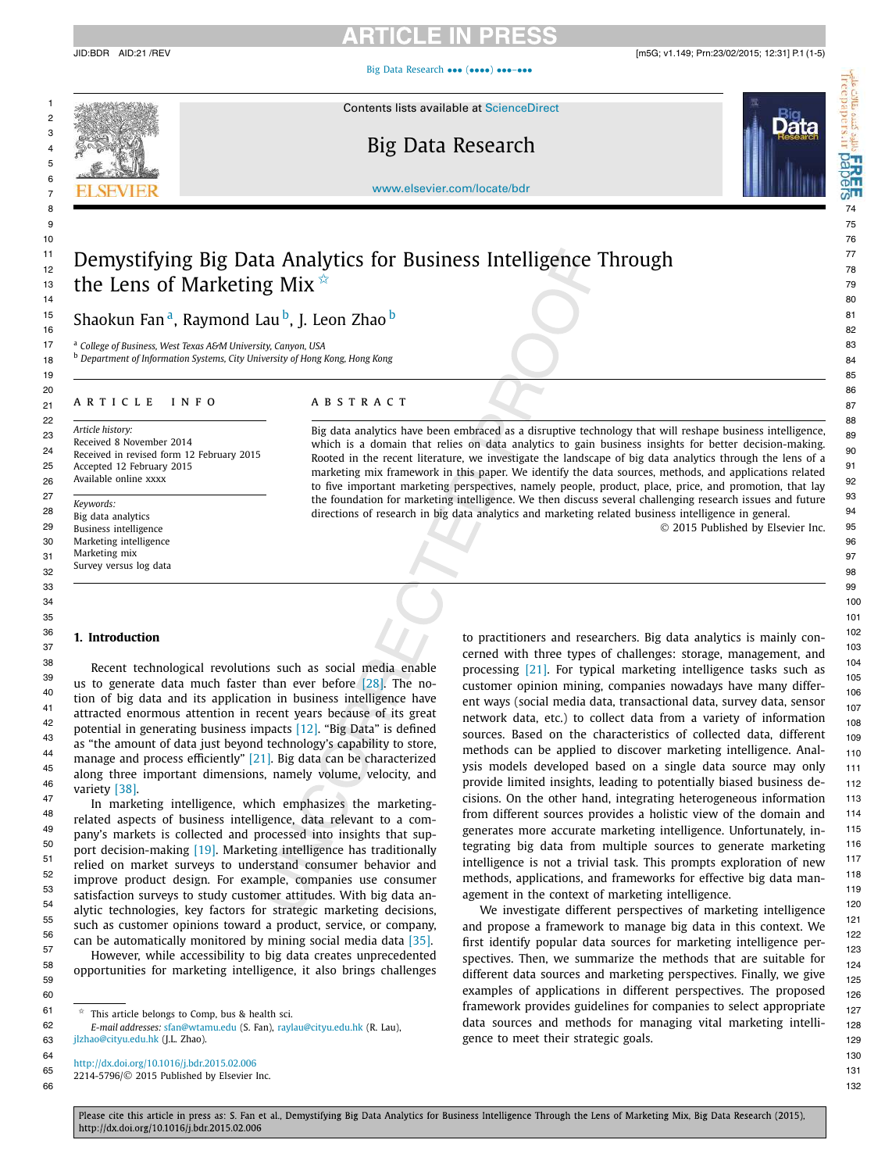[Big Data Research](http://dx.doi.org/10.1016/j.bdr.2015.02.006) ••• (••••) •••-•••



1 67 Million Contents lists available at [ScienceDirect](http://www.ScienceDirect.com/) Alliance of the Contents of the Contents of the Content

# $\frac{1}{2}$  70  $\frac{1}{2}$  8  $\frac{1}{2}$  8  $\frac{1}{2}$  8  $\frac{1}{2}$  8  $\frac{1}{2}$  8  $\frac{1}{2}$  8  $\frac{1}{2}$  8  $\frac{1}{2}$  8  $\frac{1}{2}$  8  $\frac{1}{2}$  8  $\frac{1}{2}$  8  $\frac{1}{2}$  8  $\frac{1}{2}$  8  $\frac{1}{2}$  8  $\frac{1}{2}$  8  $\frac{1}{2}$  8  $\frac{1}{2}$  8  $\frac{$



[www.elsevier.com/locate/bdr](http://www.elsevier.com/locate/bdr)

### <sup> $11$ </sup> Domustifying Rig Data Analytics for Rusiness Intelligence Through  $^{77}$  $\frac{11}{12}$  Demystifying Big Data Analytics for Business Intelligence Through  $\frac{77}{78}$  $\frac{1}{13}$  the Lens of Marketing Mix  $\stackrel{\star}{\star}$

 $^{15}$  Shockup Eand Daymond Laub I Loop 7back  $^{15}$ <sup>15</sup> Shaokun Fan <sup>a</sup>, Raymond Lau <sup>b</sup>, J. Leon Zhao <sup>b</sup> and the state of the state of the state of the state of the state of the state of the state of the state of the state of the state of the state of the state of the s

17 83 <sup>a</sup> *College of Business, West Texas A&M University, Canyon, USA*

18 84 <sup>b</sup> *Department of Information Systems, City University of Hong Kong, Hong Kong*

### zi ARTICLE INFO ABSTRACT 87

22 88 *Article history:* Received 8 November 2014 Received in revised form 12 February 2015 Accepted 12 February 2015 Available online xxxx

30 Marketing intelligence 96 Second Contract Community Contract Community Contract Community Community Community Community Community Community Community Community Community Community Community Community Community Community  $31$  Marketing mix  $97$  $\frac{32}{2}$  but type states to general and  $\frac{98}{2}$ *Keywords:* Big data analytics Business intelligence Marketing intelligence Marketing mix Survey versus log data

23 Article history:<br>23 Big data analytics have been embraced as a disruptive technology that will reshape business intelligence, g  $^{24}$  Received in revised form 12 February 2015 Rooted in the recent literature, we investigate the landscape of big data analytics through the lens of a 25 Accepted 12 February 2015<br>- Applications related and applications related and marketing mix framework in this paper. We identify the data sources, methods, and applications related 26 Available online xxxx<br>to five important marketing perspectives, namely people, product, place, price, and promotion, that lay <sup>92</sup>  $\frac{27}{\text{Kewounds}}$  the foundation for marketing intelligence. We then discuss several challenging research issues and future  $\frac{93}{\text{Kewounds}}$ <sup>28</sup> Big data analytics **1948** of research in big data analytics and marketing related business intelligence in general. <sup>94</sup> which is a domain that relies on data analytics to gain business insights for better decision-making.

29 95 © 2015 Published by Elsevier Inc.

### **1. Introduction**

along three important dimensions, namely volume, velocity, and variety [\[38\].](#page-4-0)

53 119 satisfaction surveys to study customer attitudes. With big data an- $^{54}_{-}$  alytic technologies, key factors for strategic marketing decisions, We investigate different perspectives of marketing intelligence In marketing intelligence, which emphasizes the marketingrelated aspects of business intelligence, data relevant to a company's markets is collected and processed into insights that support decision-making [\[19\].](#page-3-0) Marketing intelligence has traditionally relied on market surveys to understand consumer behavior and improve product design. For example, companies use consumer alytic technologies, key factors for strategic marketing decisions,

✩ This article belongs to Comp, bus & health sci.

64 130 <http://dx.doi.org/10.1016/j.bdr.2015.02.006>

65 131 2214-5796/© 2015 Published by Elsevier Inc.

<sup>36</sup> **1. Introduction 102 102 102 102 102 102 103 103 103 103 103 103 103 103 103 103 103 103 103 103 103 103 103 103 103 103 103 103 103 103 103 103 103** 37 103 cerned with three types of challenges: storage, management, and <sup>38</sup> Recent technological revolutions such as social media enable processing [21]. For typical marketing intelligence tasks such as  $\frac{39}{105}$  us to generate data much faster than ever before [\[28\].](#page-4-0) The no-<br>customer opinion mining, companies nowadays have many differ-<sup>40</sup> tion of big data and its application in business intelligence have ent ways (social media data, transactional data, survey data, sensor <sup>41</sup> attracted enormous attention in recent years because of its great and provided attainable and add, and a sariety of information 42<br>potential in generating business impacts [\[12\].](#page-3-0) "Big Data" is defined<br>equives. Resed on the characteristics of collected data different <sup>43</sup><br>as "the amount of data just beyond technology's capability to store, and the applied to discover marketing intelligence Appl <sup>44</sup> 110 manage and process efficiently" [\[21\].](#page-3-0) Big data can be characterized the english developed based on a single data sevise may only the control of the control of the control of the control of the control of the contr <sup>45</sup> inducts more that the contract the contract of the contract that the specific source of the source may only 111 46 112 provide limited insights, leading to potentially biased business de-<sup>47</sup> In marketing intelligence which emphasizes the marketing cisions. On the other hand, integrating heterogeneous information 113  $^{48}$  related aspects of business intelligence data relevant to a com-<br>from different sources provides a holistic view of the domain and  $^{114}$ 49 pany's markets is collected and processed into insights that sun-<br>generates more accurate marketing intelligence. Unfortunately, in- $^{50}$  nort decision-making [19]. Marketing intelligence has traditionally tegrating big data from multiple sources to generate marketing 116  $51$  relied on market surveys to understand consumer behavior and intelligence is not a trivial task. This prompts exploration of new  $117$  $52$  improve product design. For example, companies use consumer methods, applications, and frameworks for effective big data manprocessing [\[21\].](#page-3-0) For typical marketing intelligence tasks such as customer opinion mining, companies nowadays have many different ways (social media data, transactional data, survey data, sensor network data, etc.) to collect data from a variety of information sources. Based on the characteristics of collected data, different methods can be applied to discover marketing intelligence. Analagement in the context of marketing intelligence.

<sup>55</sup> such as customer opinions toward a product, service, or company, and propose a framework to manage big data in this context. We <sup>56</sup> can be automatically monitored by mining social media data [\[35\].](#page-4-0) <br>--<sup>57</sup> 123<br>However, while accessibility to big data creates unprecedented spectives. Then, we summarize the methods that are suitable for <sup>58</sup> opportunities for marketing intelligence, it also brings challenges different data sources and marketing perspectives. Finally we give opportunities for marketing inteingence, it also brings challenges and ata sources and marketing perspectives. Finally, we give  $\frac{125}{125}$ <sub>60</sub> examples of applications in different perspectives. The proposed <sub>126</sub>  $\frac{1}{27}$   $\frac{1}{27}$   $\frac{1}{27}$   $\frac{1}{27}$   $\frac{1}{27}$  framework provides guidelines for companies to select appropriate  $\frac{1}{27}$ 62 128 *E-mail addresses:* [sfan@wtamu.edu](mailto:sfan@wtamu.edu) (S. Fan), [raylau@cityu.edu.hk](mailto:raylau@cityu.edu.hk) (R. Lau), 63 129 gence to meet their strategic goals. and propose a framework to manage big data in this context. We first identify popular data sources for marketing intelligence perspectives. Then, we summarize the methods that are suitable for data sources and methods for managing vital marketing intelli-

Please cite this article in press as: S. Fan et al., Demystifying Big Data Analytics for Business Intelligence Through the Lens of Marketing Mix, Big Data Research (2015), http://dx.doi.org/10.1016/j.bdr.2015.02.006

66 and the contract of the contract of the contract of the contract of the contract of the contract of the contract of the contract of the contract of the contract of the contract of the contract of the contract of the con

[jlzhao@cityu.edu.hk](mailto:jlzhao@cityu.edu.hk) (J.L. Zhao).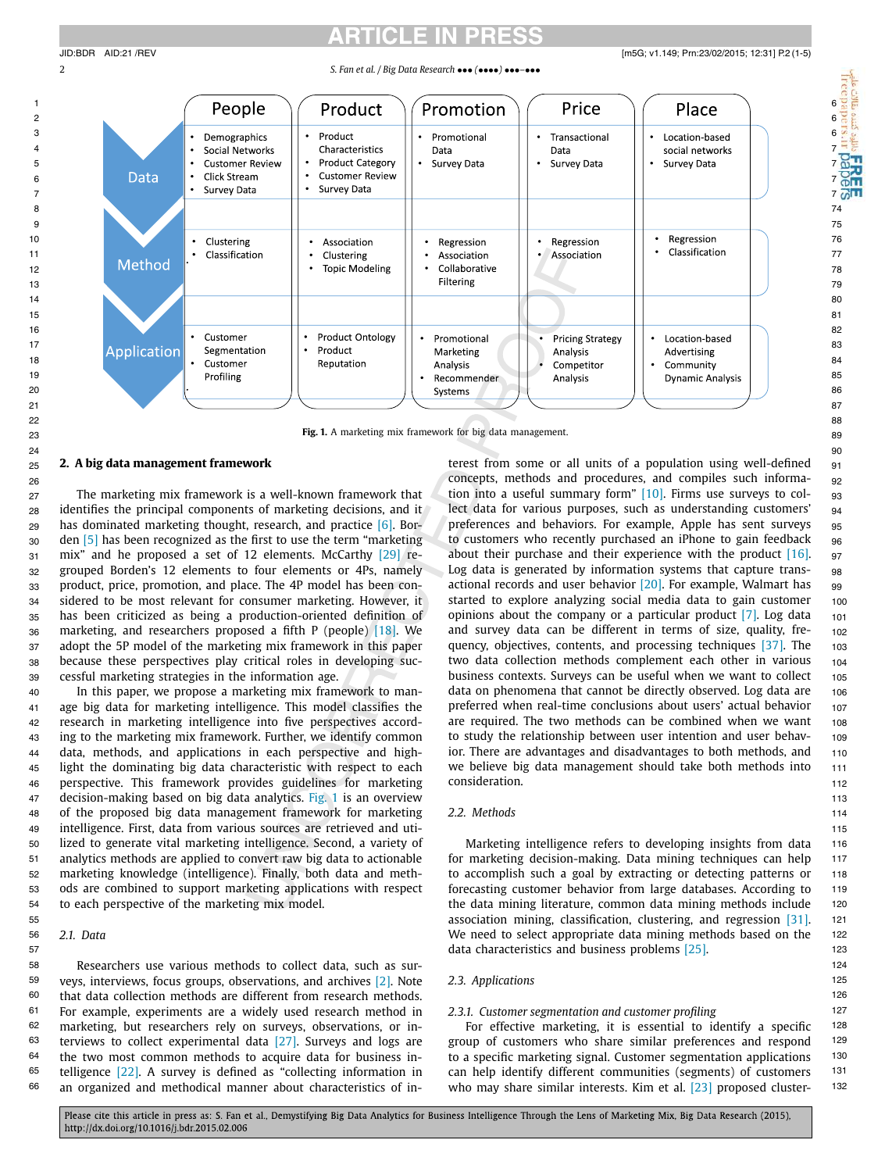2 *S. Fan et al. / Big Data Research* ••• *(*••••*)* •••*–*•••



23 89 **Fig. 1.** A marketing mix framework for big data management.

### **2. A big data management framework**

27 The marketing mix framework is a well-known framework that a tion into a useful summary form" [\[10\].](#page-3-0) Firms use surveys to col-  $\,$  93  $\,$ <sub>28</sub> identifies the principal components of marketing decisions, and it and the tect data for various purposes, such as understanding customers' <sub>94</sub> 29 has dominated marketing thought, research, and practice [\[6\].](#page-3-0) Bor- preferences and behaviors. For example, Apple has sent surveys 95  $_{30}$  den [5] has been recognized as the first to use the term "marketing bota to customers who recently purchased an iPhone to gain feedback betwork.  $_{31}$  mix" and he proposed a set of 12 elements. McCarthy [29] re- about their purchase and their experience with the product [\[16\].](#page-3-0)  $_{97}$ <sub>32</sub> grouped Borden's 12 elements to four elements or 4Ps, namely Log data is generated by information systems that capture trans- se 33 product, price, promotion, and place. The 4P model has been con-actional records and user behavior [20]. For example, Walmart has ag  $_{34}$  sidered to be most relevant for consumer marketing. However, it started to explore analyzing social media data to gain customer  $\,$   $_{100}$ <sub>35</sub> has been criticized as being a production-oriented definition of popinions about the company or a particular product [7]. Log data 101 <sub>36</sub> marketing, and researchers proposed a fifth P (people) [\[18\].](#page-3-0) We and survey data can be different in terms of size, quality, fre- 102 37 adopt the 5P model of the marketing mix framework in this paper quency, objectives, contents, and processing techniques [37]. The 103 <sub>38</sub> because these perspectives play critical roles in developing suc- two data collection methods complement each other in various 104 39 105 business contexts. Surveys can be useful when we want to collect The marketing mix framework is a well-known framework that den [\[5\]](#page-3-0) has been recognized as the first to use the term "marketing mix" and he proposed a set of 12 elements. McCarthy [\[29\]](#page-4-0) recessful marketing strategies in the information age.

40 In this paper, we propose a marketing mix framework to man- data on phenomena that cannot be directly observed. Log data are 106  $_{\rm 41}$  age big data for marketing intelligence. This model classifies the preferred when real-time conclusions about users' actual behavior  $_{\rm 107}$ 42 research in marketing intelligence into five perspectives accord- are required. The two methods can be combined when we want 108 43 ing to the marketing mix framework. Further, we identify common to study the relationship between user intention and user behav- 109 44 data, methods, and applications in each perspective and high- ior. There are advantages and disadvantages to both methods, and 110 45 light the dominating big data characteristic with respect to each we believe big data management should take both methods into 111 46 112 perspective. This framework provides guidelines for marketing 47 113 decision-making based on big data analytics. Fig. 1 is an overview 48 of the proposed big data management framework for marketing 2.2. Methods 2008 and the proposed big data management framework for marketing 2.2. Methods 49 115 intelligence. First, data from various sources are retrieved and uti-50 116 lized to generate vital marketing intelligence. Second, a variety of <sup>51</sup> analytics methods are applied to convert raw big data to actionable for marketing decision-making. Data mining techniques can help 117 52 118 marketing knowledge (intelligence). Finally, both data and meth-53 119 ods are combined to support marketing applications with respect 54 to each perspective of the marketing mix model. The state of the data mining literature, common data mining methods include the tate of the marketing mix model. In this paper, we propose a marketing mix framework to manresearch in marketing intelligence into five perspectives accordto each perspective of the marketing mix model.

### *2.1. Data*

58 124 Researchers use various methods to collect data, such as sur-<sup>59</sup> veys, interviews, focus groups, observations, and archives [\[2\].](#page-3-0) Note 2.3. Applications **125** 125 60 126 that data collection methods are different from research methods. <sup>61</sup> For example, experiments are a widely used research method in 2.3.1. Customer segmentation and customer profiling  $^{127}$ <sup>62</sup> marketing, but researchers rely on surveys, observations, or in- For effective marketing, it is essential to identify a specific <sup>128</sup>  $63$  terviews to collect experimental data [\[27\].](#page-4-0) Surveys and logs are group of customers who share similar preferences and respond  $129$  $64$  the two most common methods to acquire data for business in- to a specific marketing signal. Customer segmentation applications  $130$ <sup>65</sup> telligence [\[22\].](#page-3-0) A survey is defined as "collecting information in can help identify different communities (segments) of customers <sup>131</sup>  $66$  an organized and methodical manner about characteristics of in- who may share similar interests. Kim et al. [23] proposed cluster-  $132$ the two most common methods to acquire data for business in-

25 91 terest from some or all units of a population using well-defined 26 92 concepts, methods and procedures, and compiles such informalect data for various purposes, such as understanding customers' preferences and behaviors. For example, Apple has sent surveys Log data is generated by information systems that capture transactional records and user behavior [\[20\].](#page-3-0) For example, Walmart has started to explore analyzing social media data to gain customer opinions about the company or a particular product [\[7\].](#page-3-0) Log data and survey data can be different in terms of size, quality, frequency, objectives, contents, and processing techniques [\[37\].](#page-4-0) The two data collection methods complement each other in various preferred when real-time conclusions about users' actual behavior to study the relationship between user intention and user behavior. There are advantages and disadvantages to both methods, and we believe big data management should take both methods into consideration.

### *2.2. Methods*

55 121 association mining, classification, clustering, and regression [\[31\].](#page-4-0) 56 2.1. Data and the select appropriate data mining methods based on the select appropriate data mining methods based on the select appropriate data mining methods based on the select appropriate data mining methods based 57 **123 123 123 123 123 123 123 123 123 123 123 123 123 123 125 125** Marketing intelligence refers to developing insights from data for marketing decision-making. Data mining techniques can help to accomplish such a goal by extracting or detecting patterns or forecasting customer behavior from large databases. According to

### *2.3. Applications*

### *2.3.1. Customer segmentation and customer profiling*

For effective marketing, it is essential to identify a specific group of customers who share similar preferences and respond can help identify different communities (segments) of customers who may share similar interests. Kim et al. [\[23\]](#page-3-0) proposed cluster-

Please cite this article in press as: S. Fan et al., Demystifying Big Data Analytics for Business Intelligence Through the Lens of Marketing Mix, Big Data Research (2015), http://dx.doi.org/10.1016/j.bdr.2015.02.006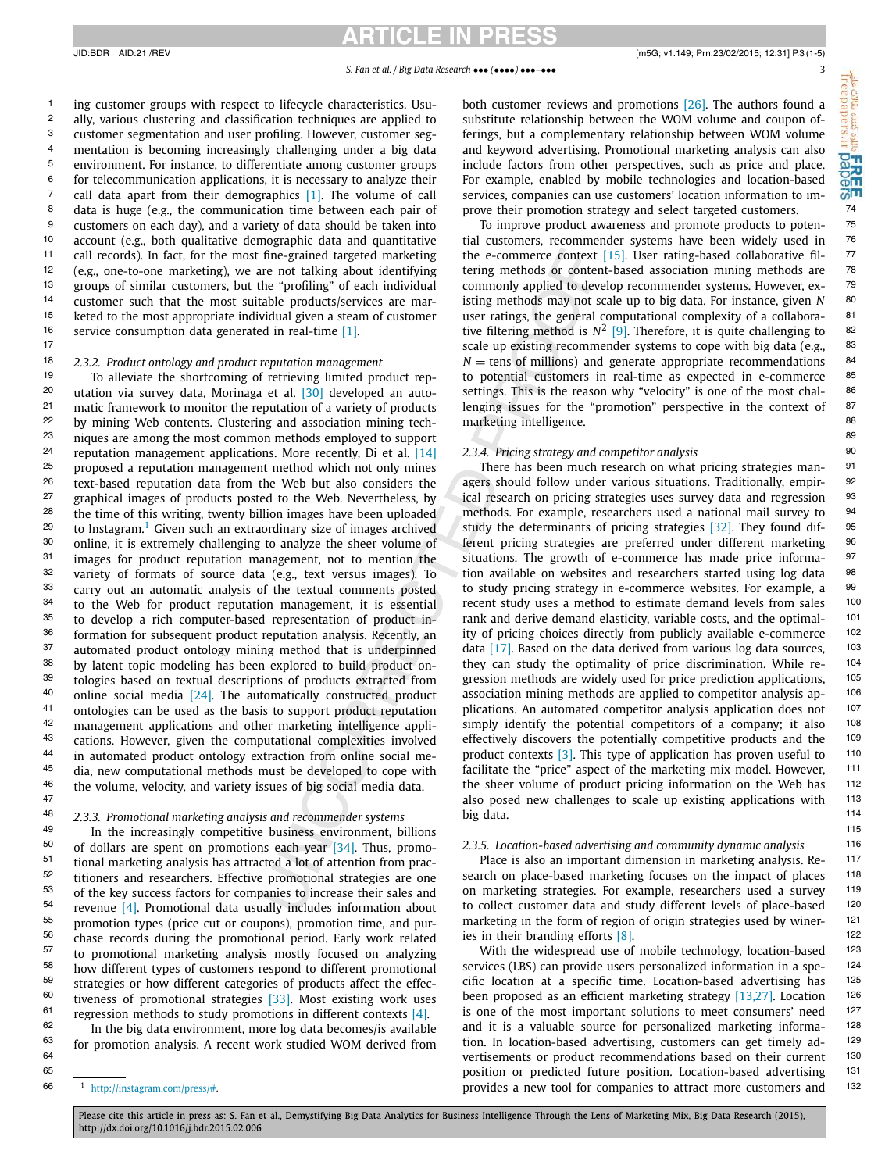<sup>1</sup> ing customer groups with respect to lifecycle characteristics. Usu- both customer reviews and promotions [26]. The authors found a <sup>2</sup> ally, various clustering and classification techniques are applied to substitute relationship between the WOM volume and coupon of- $^3$  customer segmentation and user profiling. However, customer seg- ferings, but a complementary relationship between WOM volume  $\frac{e}{2}$ 4 mentation is becoming increasingly challenging under a big data and keyword advertising. Promotional marketing analysis can also  $\frac{1}{\sqrt{2}}$ <sup>5</sup> environment. For instance, to differentiate among customer groups include factors from other perspectives, such as price and place.  $\frac{0.5}{0.5}$  $^6$  for telecommunication applications, it is necessary to analyze their for example, enabled by mobile technologies and location-based  $\frac{1}{100}$  $^7$  call data apart from their demographics [\[1\].](#page-3-0) The volume of call services, companies can use customers' location information to im-  $\omega^{\text{r}}$ 8 74 data is huge (e.g., the communication time between each pair of <sup>9</sup> customers on each day), and a variety of data should be taken into To improve product awareness and promote products to poten-<sup>10</sup> account (e.g., both qualitative demographic data and quantitative ital customers, recommender systems have been widely used in <sup>76</sup> 11 77 the e-commerce context [\[15\].](#page-3-0) User rating-based collaborative fil-<sup>12</sup> (e.g., one-to-one marketing), we are not talking about identifying tering methods or content-based association mining methods are  $78$ <sup>13</sup> groups of similar customers, but the "profiling" of each individual commonly applied to develop recommender systems. However, ex- <sup>79</sup> <sup>14</sup> customer such that the most suitable products/services are mar-<br><sup>14</sup> customer such that the most suitable products/services are mar-<br> <sup>15</sup> keted to the most appropriate individual given a steam of customer user ratings, the general computational complexity of a collabora- <sup>81</sup> <sup>16</sup> service consumption data generated in real-time [1]. Therefore, it is quite challenging to <sup>82</sup> ally, various clustering and classification techniques are applied to customer segmentation and user profiling. However, customer segmentation is becoming increasingly challenging under a big data environment. For instance, to differentiate among customer groups account (e.g., both qualitative demographic data and quantitative call records). In fact, for the most fine-grained targeted marketing (e.g., one-to-one marketing), we are not talking about identifying groups of similar customers, but the "profiling" of each individual customer such that the most suitable products/services are marservice consumption data generated in real-time [\[1\].](#page-3-0)

### *2.3.2. Product ontology and product reputation management*

<sup>20</sup> utation via survey data, Morinaga et al. [30] developed an auto- settings. This is the reason why "velocity" is one of the most chal-  $^{86}$ <sup>21</sup> matic framework to monitor the reputation of a variety of products lenging issues for the "promotion" perspective in the context of  $87$ <sup>22</sup> by mining Web contents. Clustering and association mining tech-<br><sup>22</sup> by mining Web contents. Clustering and association mining tech-<br> $\frac{1}{2}$  marketing intelligence.  $^{23}$  biques are among the most common methods employed to support  $^{85}$ <sup>24</sup> reputation management applications. More recently, Di et al. [\[14\]](#page-3-0)  $2.3.4$ . Pricing strategy and competitor analysis <sup>25</sup> proposed a reputation management method which not only mines There has been much research on what pricing strategies man- <sup>91</sup> <sup>26</sup> text-based reputation data from the Web but also considers the agers should follow under various situations. Traditionally, empir- <sup>92</sup> <sup>27</sup> graphical images of products posted to the Web. Nevertheless, by cal research on pricing strategies uses survey data and regression <sup>93</sup> <sup>28</sup> the time of this writing, twenty billion images have been uploaded methods. For example, researchers used a national mail survey to <sup>94</sup> <sup>29</sup> to Instagram.<sup>1</sup> Given such an extraordinary size of images archived study the determinants of pricing strategies [32]. They found dif- $^{30}$  online, it is extremely challenging to analyze the sheer volume of terent pricing strategies are preferred under different marketing  $^{96}$ <sup>31</sup> images for product reputation management, not to mention the situations. The growth of e-commerce has made price informa- <sup>97</sup> <sup>32</sup> variety of formats of source data (e.g., text versus images). To tion available on websites and researchers started using log data  $98$  $^{33}$  carry out an automatic analysis of the textual comments posted to study pricing strategy in e-commerce websites. For example, a  $^{99}$  $34$  to the Web for product reputation management, it is essential recent study uses a method to estimate demand levels from sales  $100$  $35$  to develop a rich computer-based representation of product in-<br> $\frac{101}{2}$  rank and derive demand elasticity, variable costs, and the optimal-<sup>36</sup> formation for subsequent product reputation analysis. Recently, an ity of pricing choices directly from publicly available e-commerce <sup>102</sup> <sup>37</sup> automated product ontology mining method that is underpinned data [\[17\].](#page-3-0) Based on the data derived from various log data sources, <sup>103</sup>  $38$  by latent topic modeling has been explored to build product on-<br>they can study the optimality of price discrimination. While re-  $104$  $39$  tologies based on textual descriptions of products extracted from gression methods are widely used for price prediction applications,  $105$ <sup>40</sup> online social media [24]. The automatically constructed product association mining methods are applied to competitor analysis ap-<br>100 <sup>41</sup> ontologies can be used as the basis to support product reputation plications. An automated competitor analysis application does not  $107$ <sup>42</sup> management applications and other marketing intelligence appli-<br>simply identify the potential competitors of a company; it also 108 <sup>43</sup> cations. However, given the computational complexities involved effectively discovers the potentially competitive products and the  $105$ <sup>44</sup> in automated product ontology extraction from online social me-<br>product contexts [\[3\].](#page-3-0) This type of application has proven useful to  $110$ <sup>45</sup> dia, new computational methods must be developed to cope with facilitate the "price" aspect of the marketing mix model. However,  $111$ <sup>46</sup> the volume, velocity, and variety issues of big social media data. The sheer volume of product pricing information on the Web has  $112$ To alleviate the shortcoming of retrieving limited product reputation via survey data, Morinaga et al. [\[30\]](#page-4-0) developed an automatic framework to monitor the reputation of a variety of products proposed a reputation management method which not only mines graphical images of products posted to the Web. Nevertheless, by to develop a rich computer-based representation of product information for subsequent product reputation analysis. Recently, an automated product ontology mining method that is underpinned by latent topic modeling has been explored to build product ontologies based on textual descriptions of products extracted from online social media [\[24\].](#page-4-0) The automatically constructed product ontologies can be used as the basis to support product reputation management applications and other marketing intelligence applications. However, given the computational complexities involved in automated product ontology extraction from online social media, new computational methods must be developed to cope with the volume, velocity, and variety issues of big social media data.

<sup>49</sup> 11<sup>5</sup> 115 50 116 *2.3.5. Location-based advertising and community dynamic analysis* <sup>51</sup> tional marketing analysis has attracted a lot of attention from prac-<br>117 en accession an important dimension in marketing analysis. Re- 117  $52$  titioners and researchers. Effective promotional strategies are one search on place-based marketing focuses on the impact of places  $118$  $^{53}$  of the key success factors for companies to increase their sales and on marketing strategies. For example, researchers used a survey  $198$ <sup>54</sup> revenue [4], Promotional data usually includes information about to collect customer data and study different levels of place-based <sup>120</sup> <sup>55</sup> promotion types (price cut or coupons), promotion time, and pur-<br> <sup>56</sup> chase records during the promotional period. Early work related ies in their branding efforts [8]. of dollars are spent on promotions each year [\[34\].](#page-4-0) Thus, promotional marketing analysis has attracted a lot of attention from practitioners and researchers. Effective promotional strategies are one of the key success factors for companies to increase their sales and revenue [\[4\].](#page-3-0) Promotional data usually includes information about promotion types (price cut or coupons), promotion time, and purto promotional marketing analysis mostly focused on analyzing how different types of customers respond to different promotional strategies or how different categories of products affect the effectiveness of promotional strategies [\[33\].](#page-4-0) Most existing work uses regression methods to study promotions in different contexts [\[4\].](#page-3-0)

In the big data environment, more log data becomes/is available for promotion analysis. A recent work studied WOM derived from

### <sup>1</sup> [http://instagram.com/press/#](http://instagram.com/press/).

both customer reviews and promotions [\[26\].](#page-4-0) The authors found a For example, enabled by mobile technologies and location-based services, companies can use customers' location information to improve their promotion strategy and select targeted customers.

17 17 **17 17 17 183 183 193 183 183 183 183 183 183 183 183 183 183 183 183 183 183 183 183 183 183 183 183 183 183 183 183 183 183 183 183 183 183 18** <sup>18</sup> 2.3.2. Product ontology and product reputation management  $N =$  tens of millions) and generate appropriate recommendations <sup>84</sup> <sup>19</sup> To alleviate the shortcoming of retrieving limited product rep- to potential customers in real-time as expected in e-commerce <sup>85</sup> To improve product awareness and promote products to potenuser ratings, the general computational complexity of a collaboramarketing intelligence.

#### *2.3.4. Pricing strategy and competitor analysis*

<sup>47</sup> 113 also posed new challenges to scale up existing applications with 113 48 114 *2.3.3. Promotional marketing analysis and recommender systems* agers should follow under various situations. Traditionally, empirmethods. For example, researchers used a national mail survey to study the determinants of pricing strategies [\[32\].](#page-4-0) They found different pricing strategies are preferred under different marketing situations. The growth of e-commerce has made price information available on websites and researchers started using log data to study pricing strategy in e-commerce websites. For example, a recent study uses a method to estimate demand levels from sales big data.

ies in their branding efforts [\[8\].](#page-3-0)

 $57$  to promotional marketing analysis mostly focused on analyzing and With the widespread use of mobile technology, location-based  $123$  $58$  how different types of customers respond to different promotional services (LBS) can provide users personalized information in a spe-  $124$ <sup>59</sup> strategies or how different categories of products affect the effec- cific location at a specific time. Location-based advertising has  $125$ <sup>60</sup> tiveness of promotional strategies [33]. Most existing work uses been proposed as an efficient marketing strategy [\[13,27\].](#page-3-0) Location 126 <sup>61</sup> regression methods to study promotions in different contexts [4], is one of the most important solutions to meet consumers' need <sup>127</sup>  $62$  11 In the big data environment, more log data becomes/is available and it is a valuable source for personalized marketing informa- $^{63}$  for promotion analysis. A recent work studied WOM derived from tion. In location-based advertising, customers can get timely ad-<br> 64 130 vertisements or product recommendations based on their current 65 131 position or predicted future position. Location-based advertising  $66$ <sup>1</sup> http://instagram.com/press/#.

Please cite this article in press as: S. Fan et al., Demystifying Big Data Analytics for Business Intelligence Through the Lens of Marketing Mix, Big Data Research (2015), http://dx.doi.org/10.1016/j.bdr.2015.02.006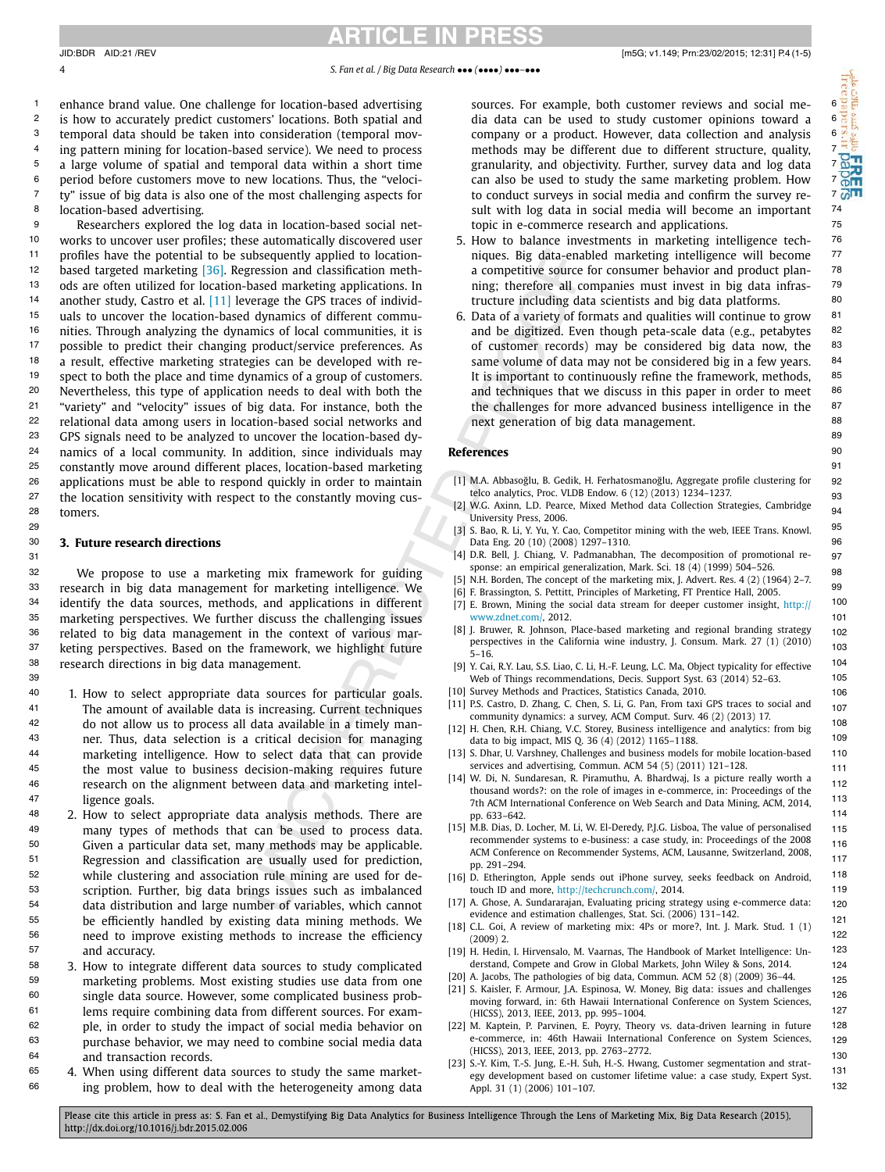<span id="page-3-0"></span><sup>1</sup> enhance brand value. One challenge for location-based advertising sources. For example, both customer reviews and social me-  $6$  $^2$  is how to accurately predict customers' locations. Both spatial and  $\qquad$  dia data can be used to study customer opinions toward a  $\qquad$  6 <sup>3</sup> temporal data should be taken into consideration (temporal mov- company or a product. However, data collection and analysis 6 <sup>4</sup> ing pattern mining for location-based service). We need to process **the methods may be different due to different** structure, quality, <sup>7</sup>  $^5$  a large volume of spatial and temporal data within a short time  $^{\prime\prime}$  granularity, and objectivity. Further, survey data and log data  $^{\prime\prime}$  , <sup>6</sup> period before customers move to new locations. Thus, the "veloci-**can also be used to study the same market**ing problem. How <sup>7</sup>  $\frac{7}{10}$  ty" issue of big data is also one of the most challenging aspects for  $\frac{1}{100}$  to conduct surveys in social media and confirm the survey re-8 74 sult with log data in social media will become an important location-based advertising.

<sup>9</sup> Researchers explored the log data in location-based social net-**the interal to the commerce research and applications.** <sup>10</sup> works to uncover user profiles; these automatically discovered user  $\qquad 5$ . How to balance investments in marketing intelligence tech- <sup>76</sup> <sup>11</sup> profiles have the potential to be subsequently applied to location- miques. Big data-enabled marketing intelligence will become <sup>77</sup> <sup>12</sup> based targeted marketing [\[36\].](#page-4-0) Regression and classification meth-<br><sup>12</sup> based targeted marketing [36]. Regression and classification meth-<br>**2** a competitive source for consumer behavior and product plan-<sup>13</sup> ods are often utilized for location-based marketing applications. In  $\qquad$  ning; therefore all companies must invest in big data infras-  $\frac{79}{100}$ <sup>14</sup> another study, Castro et al. [11] leverage the GPS traces of individ-<br><sup>14</sup> another study, Castro et al. [11] leverage the GPS traces of individ-<br> <sup>15</sup> uals to uncover the location-based dynamics of different commu- 6. Data of a variety of formats and qualities will continue to grow <sup>81</sup> <sup>16</sup> nities. Through analyzing the dynamics of local communities, it is and be digitized. Even though peta-scale data (e.g., petabytes <sup>82</sup> <sup>17</sup> possible to predict their changing product/service preferences. As **120 of customer records**) may be considered big data now, the <sup>83</sup> <sup>18</sup> a result, effective marketing strategies can be developed with re-<br><sup>18</sup> a result, effective marketing strategies can be developed with re-<br> <sup>19</sup> spect to both the place and time dynamics of a group of customers. It is important to continuously refine the framework, methods, <sup>85</sup> <sup>20</sup> Nevertheless, this type of application needs to deal with both the and techniques that we discuss in this paper in order to meet <sup>86</sup> <sup>21</sup> "variety" and "velocity" issues of big data. For instance, both the the challenges for more advanced business intelligence in the <sup>87</sup> <sup>22</sup> relational data among users in location-based social networks and **the mature of the social constant and the social** and the set of hig data management. <sup>23</sup> GPS signals need to be analyzed to uncover the location-based dy-**2000 COV COVID-DISCOVERS** 69 <sup>24</sup> namics of a local community. In addition, since individuals may **References Example 20** 20 20 20 20 20 20 20 <sup>25</sup> constantly move around different places, location-based marketing the state of the state of the state of the state of the state of the state of the state of the state of the state of the state of the state of the stat 26 applications must be able to respond quickly in order to maintain [1] M.A. Abbasoğlu, B. Gedik, H. Ferhatosmanoğlu, Aggregate profile clustering for [92 27 the location sensitivity with respect to the constantly moving cus-<br>27 **EXECUTE:**  $\frac{100 \text{ K}}{200 \text{ K}} = 100 \text{ K}$ 28 tomers.<br>28 tomers. At the strategies, Cambridge and The Magnus (21 W.G. Axinn, L.D. Pearce, Mixed Method data Collection Strategies, Cambridge 94 tomers.

32 We propose to use a marketing mix framework for guiding  $\frac{1}{2}$  by the sequent of the marketing mix  $\frac{1}{2}$   $\frac{1}{2}$   $\frac{1}{2}$   $\frac{1}{2}$ 33 research in big data management for marketing intelligence. We for Brassington S. Pettitt, Principles of Marketing ET Prentice Hall, 2005. <sup>34</sup> identify the data sources, methods, and applications in different [7] E. Brown, Mining the social data stream for deeper customer insight, http:// 100 <sup>35</sup> marketing perspectives. We further discuss the challenging issues www.zdnet.com/, 2012. 36 related to big data management in the context of various mar-<br>36 related to big data management in the context of various mar-<br>36 related in the set in the context of various mar- $37$  keting perspectives. Based on the framework, we highlight future  $\frac{1}{5}$  16 38 104 [9] Y. Cai, R.Y. Lau, S.S. Liao, C. Li, H.-F. Leung, L.C. Ma, Object typicality for effective research directions in big data management.

- 40 1. How to select appropriate data sources for particular goals. [10] Survey Methods and Practices, Statistics Canada, 2010. [106] 106 41 The amount of available data is increasing. Current techniques  $\frac{1}{4}$  community dependent of  $\frac{1}{4}$  community density of  $\frac{1}{4}$  community dependent of  $\frac{1}{4}$  CM  $\frac{1}{4}$  CM  $\frac{1}{4}$  CM  $\frac{1}{4}$  CM  $\frac{1}{$ <sup>108</sup> 108 do not allow us to process all data available in a timely man-<br><sup>108</sup> 108 do not allow us to process all data available in a timely man-<br>108 do not allow us to process all data available in a timely man-<br>108 do no <sup>43</sup> 109 ner. Thus, data selection is a critical decision for managing that to big impact, MIS Q. 36 (4) (2012) 1165–1188. 44 **110** marketing intelligence. How to select data that can provide [13] S. Dhar, U. Varshney, Challenges and business models for mobile location-based 110 45 the most value to business decision-making requires future  $\frac{1}{111}$  services and advertising commun. ACM 54 (5) (2011) 121-128. 46 **112 research on the alignment between data and marketing intel-**  $\frac{114}{11}$  **thousand worlds?** on the planetime of magnes in e-commerce in: Proceedings of the 112 marketing intelligence. How to select data that can provide ligence goals.
- <sup>48</sup> 2. How to select appropriate data analysis methods. There are  $p$ , 633-642. 49 115 many types of methods that can be used to process data. 50 116 Given a particular data set, many methods may be applicable. 51 Regression and classification are usually used for prediction,  $\frac{1}{100}$  291–294 <sup>52</sup> while clustering and association rule mining are used for de- [16] D. Etherington, Apple sends out iPhone survey, seeks feedback on Android, <sup>118</sup> 53 scription. Further, big data brings issues such as imbalanced touch ID and more, http://techcrunch.com/, 2014. 54 **120** data distribution and large number of variables, which cannot [17] A. Ghose, A. Sundararajan, Evaluating pricing strategy using e-commerce data: 120  $\frac{121}{121}$  be efficiently handled by existing data mining methods. We also the companism mix decreases, some  $\frac{121}{121}$  and  $\frac{121}{121}$  and  $\frac{121}{121}$  and  $\frac{121}{121}$  and  $\frac{121}{121}$  and  $\frac{121}{121}$  and 56 122 need to improve existing methods to increase the efficiency 57 123 [19] H. Hedin, I. Hirvensalo, M. Vaarnas, The Handbook of Market Intelligence: Unwhile clustering and association rule mining are used for dedata distribution and large number of variables, which cannot and accuracy.
- 58 124 3. How to integrate different data sources to study complicated 59 125 marketing problems. Most existing studies use data from one 60 126 single data source. However, some complicated business prob-<sup>61</sup> 127 **127** 127 **127** 127 **127** 127 **127** 128 **127** 128 **127** 128 **127** 128 **127** 128 **127** 129 **127** 129 **127** 129 **127** 129 62 **128** ple, in order to study the impact of social media behavior on [22] M. Kaptein, P. Parvinen, E. Poyry, Theory vs. data-driven learning in future 128 63 129 purchase behavior, we may need to combine social media data 64 130 [23] S.-Y. Kim, T.-S. Jung, E.-H. Suh, H.-S. Hwang, Customer segmentation and stratple, in order to study the impact of social media behavior on and transaction records.
- 65 4. When using different data sources to study the same market-<br> $\frac{1}{1}$  exp development based on customer lifetime value: a case study. Expert Syst. 131 <sup>66</sup> ing problem, how to deal with the heterogeneity among data and ppl. 31 (1) (2006) 101-107.

sources. For example, both customer reviews and social media data can be used to study customer opinions toward a company or a product. However, data collection and analysis methods may be different due to different structure, quality, granularity, and objectivity. Further, survey data and log data can also be used to study the same marketing problem. How to conduct surveys in social media and confirm the survey retopic in e-commerce research and applications.

- 5. How to balance investments in marketing intelligence techniques. Big data-enabled marketing intelligence will become a competitive source for consumer behavior and product planning; therefore all companies must invest in big data infrastructure including data scientists and big data platforms.
- 6. Data of a variety of formats and qualities will continue to grow and be digitized. Even though peta-scale data (e.g., petabytes of customer records) may be considered big data now, the same volume of data may not be considered big in a few years. It is important to continuously refine the framework, methods, and techniques that we discuss in this paper in order to meet the challenges for more advanced business intelligence in the next generation of big data management.

### **References**

- [1] M.A. Abbasoğlu, B. Gedik, H. Ferhatosmanoğlu, Aggregate profile clustering for telco analytics, Proc. VLDB Endow. 6 (12) (2013) 1234–1237.
- <sup>95</sup> 95 29 95 1 3 3. Bao, R. Li, Y. Yu, Y. Cao, Competitor mining with the web, IEEE Trans. Knowl. University Press, 2006.
- 30 96 **3. Future research directions** Data Eng. 20 (10) (2008) 1297–1310.
- 31 97 [4] D.R. Bell, J. Chiang, V. Padmanabhan, The decomposition of promotional response: an empirical generalization, Mark. Sci. 18 (4) (1999) 504–526.
	- [5] N.H. Borden, The concept of the marketing mix, J. Advert. Res. 4 (2) (1964) 2–7.
	- [6] F. Brassington, S. Pettitt, Principles of Marketing, FT Prentice Hall, 2005. [7] E. Brown, Mining the social data stream for deeper customer insight, [http://](http://www.zdnet.com/) [www.zdnet.com/,](http://www.zdnet.com/) 2012.
	- [8] J. Bruwer, R. Johnson, Place-based marketing and regional branding strategy perspectives in the California wine industry, J. Consum. Mark. 27 (1) (2010) 5–16.
- 39 105 Web of Things recommendations, Decis. Support Syst. 63 (2014) 52–63.
	- [10] Survey Methods and Practices, Statistics Canada, 2010.
	- [11] P.S. Castro, D. Zhang, C. Chen, S. Li, G. Pan, From taxi GPS traces to social and community dynamics: a survey, ACM Comput. Surv. 46 (2) (2013) 17.
	- [12] H. Chen, R.H. Chiang, V.C. Storey, Business intelligence and analytics: from big data to big impact, MIS Q. 36 (4) (2012) 1165–1188.
	- services and advertising, Commun. ACM 54 (5) (2011) 121–128.
- 47 **113** 113 113 113 113 113 114 115 116 12 116 12 116 12 116 12 116 12 116 12 116 12 116 12 116 12 116 12 116 12 116 12 116 12 116 12 116 12 116 12 116 12 116 12 116 12 116 12 116 12 116 12 116 12 116 12 116 12 116 12 116 [14] W. Di, N. Sundaresan, R. Piramuthu, A. Bhardwaj, Is a picture really worth a thousand words?: on the role of images in e-commerce, in: Proceedings of the pp. 633–642.
	- [15] M.B. Dias, D. Locher, M. Li, W. El-Deredy, P.J.G. Lisboa, The value of personalised recommender systems to e-business: a case study, in: Proceedings of the 2008 ACM Conference on Recommender Systems, ACM, Lausanne, Switzerland, 2008, pp. 291–294.
	- touch ID and more, <http://techcrunch.com/>, 2014.
	- evidence and estimation challenges, Stat. Sci. (2006) 131–142.
	- [18] C.L. Goi, A review of marketing mix: 4Ps or more?, Int. J. Mark. Stud. 1 (1) (2009) 2.
	- derstand, Compete and Grow in Global Markets, John Wiley & Sons, 2014.
	- [20] A. Jacobs, The pathologies of big data, Commun. ACM 52 (8) (2009) 36-44.
	- [21] S. Kaisler, F. Armour, J.A. Espinosa, W. Money, Big data: issues and challenges moving forward, in: 6th Hawaii International Conference on System Sciences, (HICSS), 2013, IEEE, 2013, pp. 995–1004.
	- e-commerce, in: 46th Hawaii International Conference on System Sciences, (HICSS), 2013, IEEE, 2013, pp. 2763–2772.
	- egy development based on customer lifetime value: a case study, Expert Syst. Appl. 31 (1) (2006) 101–107.

Please cite this article in press as: S. Fan et al., Demystifying Big Data Analytics for Business Intelligence Through the Lens of Marketing Mix, Big Data Research (2015), http://dx.doi.org/10.1016/j.bdr.2015.02.006